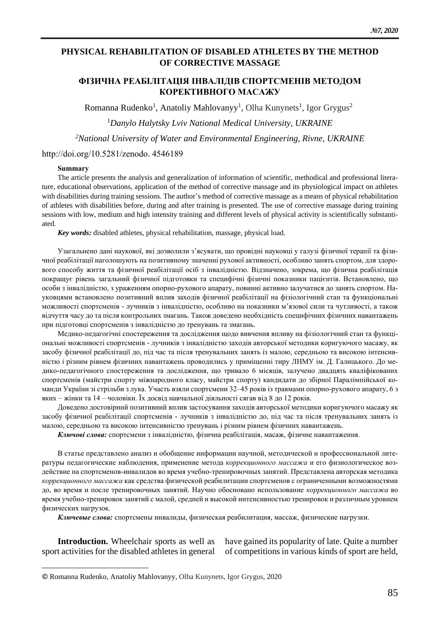## **PHYSICAL REHABILITATION OF DISABLED ATHLETES BY THE METHOD OF CORRECTIVE MASSAGE**

## **ФІЗИЧНА РЕАБІЛІТАЦІЯ ІНВАЛІДІВ СПОРТСМЕНІВ МЕТОДОМ КОРЕКТИВНОГО МАСАЖУ**

Romanna Rudenko<sup>1</sup>, Anatoliy Mahlovanyy<sup>1</sup>, Olha Kunynets<sup>1</sup>, Igor Grygus<sup>2</sup>

<sup>1</sup>*Danylo Halytsky Lviv National Medical University, UKRAINE*

*<sup>2</sup>National University of Water and Environmental Engineering, Rivne, UKRAINE*

#### http://doi.org/10.5281/zenodo. 4546189

### **Summary**

The article presents the analysis and generalization of information of scientific, methodical and professional literature, educational observations, application of the method of corrective massage and its physiological impact on athletes with disabilities during training sessions. The author's method of corrective massage as a means of physical rehabilitation of athletes with disabilities before, during and after training is presented. The use of corrective massage during training sessions with low, medium and high intensity training and different levels of physical activity is scientifically substantiated.

*Key words:* disabled athletes, physical rehabilitation, massage, physical load.

Узагальнено дані наукової, які дозволили з'ясувати, що провідні науковці у галузі фізичної терапії та фізичної реабілітації наголошують на позитивному значенні рухової активності, особливо занять спортом, для здорового способу життя та фізичної реабілітації осіб з інвалідністю. Відзначено, зокрема, що фізична реабілітація покращує рівень загальний фізичної підготовки та специфічні фізичні показники пацієнтів. Встановлено, що особи з інвалідністю, з ураженням опорно-рухового апарату, повинні активно залучатися до занять спортом. Науковцями встановлено позитивний вплив заходів фізичної реабілітації на фізіологічний стан та функціональні можливості спортсменів - лучників з інвалідністю, особливо на показники м'язової сили та чутливості, а також відчуття часу до та після контрольних змагань. Також доведено необхідність специфічних фізичних навантажень при підготовці спортсменів з інвалідністю до тренувань та змагань.

Медико-педагогічні спостереження та дослідження щодо вивчення впливу на фізіологічний стан та функціональні можливості спортсменів - лучників з інвалідністю заходів авторської методики коригуючого масажу, як засобу фізичної реабілітації до, під час та після тренувальних занять із малою, середньою та високою інтенсивністю і різним рівнем фізичних навантажень проводились у приміщенні тиру ЛНМУ ім. Д. Галицького. До медико-педагогічного спостереження та дослідження, що тривало 6 місяців, залучено двадцять кваліфікованих спортсменів (майстри спорту міжнародного класу, майстри спорту) кандидати до збірної Паралімпійської команди України зі стрільби з лука. Участь взяли спортсмени 32–45 років із травмами опорно-рухового апарату, 6 з яких – жінки та 14 – чоловіки. Їх досвід навчальної діяльності сягав від 8 до 12 років.

Доведено достовірний позитивний вплив застосування заходів авторської методики коригуючого масажу як засобу фізичної реабілітації спортсменів - лучників з інвалідністю до, під час та після тренувальних занять із малою, середньою та високою інтенсивністю тренувань і різним рівнем фізичних навантажень.

*Ключові слова:* спортсмени з інвалідністю, фізична реабілітація, масаж, фізичне навантаження.

В статье представлено анализ и обобщение информации научной, методической и профессиональной литературы педагогические наблюдения, применение метода *коррекционного массажа* и его физиологическое воздействие на спортсменов-инвалидов во время учебно-тренировочных занятий. Представлена авторская методика *коррекционного массажа* как средства физической реабилитации спортсменов с ограниченными возможностями до, во время и после тренировочных занятий. Научно обосновано использование *коррекционного массажа* во время учебно-тренировок занятий с малой, средней и высокой интенсивностью тренировок и различным уровнем физических нагрузок.

*Ключевые слова:* спортсмены инвалиды, физическая реабилитация, массаж, физические нагрузки.

**Introduction.** Wheelchair sports as well as sport activities for the disabled athletes in general have gained its popularity of late. Quite a number of competitions in various kinds of sport are held,

<sup>©</sup> Romanna Rudenko, Anatoliy Mahlovanyy, Olha Kunynets, Igor Grygus, 2020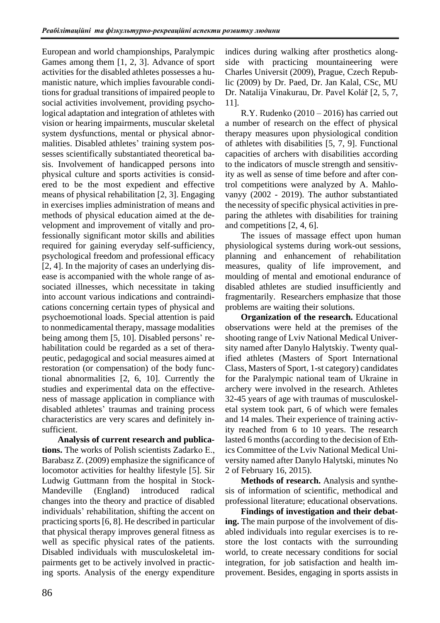European and world championships, Paralympic Games among them [1, 2, 3]. Advance of sport activities for the disabled athletes possesses a humanistic nature, which implies favourable conditions for gradual transitions of impaired people to social activities involvement, providing psychological adaptation and integration of athletes with vision or hearing impairments, muscular skeletal system dysfunctions, mental or physical abnormalities. Disabled athletes' training system possesses scientifically substantiated theoretical basis. Involvement of handicapped persons into physical culture and sports activities is considered to be the most expedient and effective means of physical rehabilitation [2, 3]. Engaging in exercises implies administration of means and methods of physical education aimed at the development and improvement of vitally and professionally significant motor skills and abilities required for gaining everyday self-sufficiency, psychological freedom and professional efficacy [2, 4]. In the majority of cases an underlying disease is accompanied with the whole range of associated illnesses, which necessitate in taking into account various indications and contraindications concerning certain types of physical and psychoemotional loads. Special attention is paid to nonmedicamental therapy, massage modalities being among them [5, 10]. Disabled persons' rehabilitation could be regarded as a set of therapeutic, pedagogical and social measures aimed at restoration (or compensation) of the body functional abnormalities [2, 6, 10]. Currently the studies and experimental data on the effectiveness of massage application in compliance with disabled athletes' traumas and training process characteristics are very scares and definitely insufficient.

**Analysis of current research and publications.** The works of Polish scientists Zadarko Е., Barabasz Z. (2009) emphasize the significance of locomotor activities for healthy lifestyle [5]. Sir Ludwig Guttmann from the hospital in Stock-Mandeville (England) introduced radical changes into the theory and practice of disabled individuals' rehabilitation, shifting the accent on practicing sports [6, 8]. He described in particular that physical therapy improves general fitness as well as specific physical rates of the patients. Disabled individuals with musculoskeletal impairments get to be actively involved in practicing sports. Analysis of the energy expenditure indices during walking after prosthetics alongside with practicing mountaineering were Charles Universit (2009), Prague, Czech Republic (2009) by Dr. Paed, Dr. Jan Kalal, CSc, MU Dr. Natalija Vinakurau, Dr. Pavel Kolář [2, 5, 7, 11].

R.Y. Rudenko (2010 – 2016) has carried out a number of research on the effect of physical therapy measures upon physiological condition of athletes with disabilities [5, 7, 9]. Functional capacities of archers with disabilities according to the indicators of muscle strength and sensitivity as well as sense of time before and after control competitions were analyzed by A. Mahlovanyy (2002 - 2019). The author substantiated the necessity of specific physical activities in preparing the athletes with disabilities for training and competitions [2, 4, 6].

The issues of massage effect upon human physiological systems during work-out sessions, planning and enhancement of rehabilitation measures, quality of life improvement, and moulding of mental and emotional endurance of disabled athletes are studied insufficiently and fragmentarily. Researchers emphasize that those problems are waiting their solutions.

**Organization of the research.** Educational observations were held at the premises of the shooting range of Lviv National Medical University named after Danylo Halytskiy. Twenty qualified athletes (Masters of Sport International Class, Masters of Sport, 1-st category) candidates for the Paralympic national team of Ukraine in archery were involved in the research. Athletes 32-45 years of age with traumas of musculoskeletal system took part, 6 of which were females and 14 males. Their experience of training activity reached from 6 to 10 years. The research lasted 6 months (according to the decision of Ethics Committee of the Lviv National Medical University named after Danylo Halytski, minutes No 2 of February 16, 2015).

**Methods of research.** Analysis and synthesis of information of scientific, methodical and professional literature; educational observations.

**Findings of investigation and their debating.** The main purpose of the involvement of disabled individuals into regular exercises is to restore the lost contacts with the surrounding world, to create necessary conditions for social integration, for job satisfaction and health improvement. Besides, engaging in sports assists in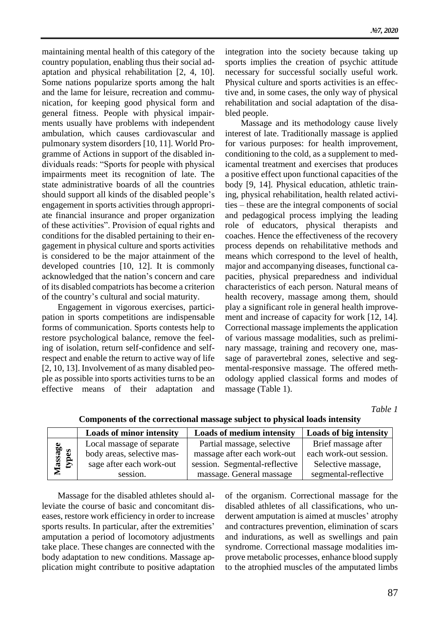maintaining mental health of this category of the country population, enabling thus their social adaptation and physical rehabilitation [2, 4, 10]. Some nations popularize sports among the halt and the lame for leisure, recreation and communication, for keeping good physical form and general fitness. People with physical impairments usually have problems with independent ambulation, which causes cardiovascular and pulmonary system disorders [10, 11]. World Programme of Actions in support of the disabled individuals reads: "Sports for people with physical impairments meet its recognition of late. The state administrative boards of all the countries should support all kinds of the disabled people's engagement in sports activities through appropriate financial insurance and proper organization of these activities". Provision of equal rights and conditions for the disabled pertaining to their engagement in physical culture and sports activities is considered to be the major attainment of the developed countries [10, 12]. It is commonly acknowledged that the nation's concern and care of its disabled compatriots has become a criterion of the country's cultural and social maturity.

Engagement in vigorous exercises, participation in sports competitions are indispensable forms of communication. Sports contests help to restore psychological balance, remove the feeling of isolation, return self-confidence and selfrespect and enable the return to active way of life [2, 10, 13]. Involvement of as many disabled people as possible into sports activities turns to be an effective means of their adaptation and integration into the society because taking up sports implies the creation of psychic attitude necessary for successful socially useful work. Physical culture and sports activities is an effective and, in some cases, the only way of physical rehabilitation and social adaptation of the disabled people.

Massage and its methodology cause lively interest of late. Traditionally massage is applied for various purposes: for health improvement, conditioning to the cold, as a supplement to medicamental treatment and exercises that produces a positive effect upon functional capacities of the body [9, 14]*.* Physical education, athletic training, physical rehabilitation, health related activities – these are the integral components of social and pedagogical process implying the leading role of educators, physical therapists and coaches. Hence the effectiveness of the recovery process depends on rehabilitative methods and means which correspond to the level of health, major and accompanying diseases, functional capacities, physical preparedness and individual characteristics of each person. Natural means of health recovery, massage among them, should play a significant role in general health improvement and increase of capacity for work [12, 14]*.*  Correctional massage implements the application of various massage modalities, such as preliminary massage, training and recovery one, massage of paravertebral zones, selective and segmental-responsive massage. The offered methodology applied classical forms and modes of massage (Table 1).

*Table 1*

|                  | <b>Loads of minor intensity</b> | <b>Loads of medium intensity</b> | <b>Loads of big intensity</b> |
|------------------|---------------------------------|----------------------------------|-------------------------------|
| lassage<br>types | Local massage of separate       | Partial massage, selective       | Brief massage after           |
|                  | body areas, selective mas-      | massage after each work-out      | each work-out session.        |
|                  | sage after each work-out        | session. Segmental-reflective    | Selective massage,            |
|                  | session.                        | massage. General massage         | segmental-reflective          |

**Components of the correctional massage subject to physical loads intensity**

Massage for the disabled athletes should alleviate the course of basic and concomitant diseases, restore work efficiency in order to increase sports results. In particular, after the extremities' amputation a period of locomotory adjustments take place. These changes are connected with the body adaptation to new conditions. Massage application might contribute to positive adaptation of the organism. Correctional massage for the disabled athletes of all classifications, who underwent amputation is aimed at muscles' atrophy and contractures prevention, elimination of scars and indurations, as well as swellings and pain syndrome. Correctional massage modalities improve metabolic processes, enhance blood supply to the atrophied muscles of the amputated limbs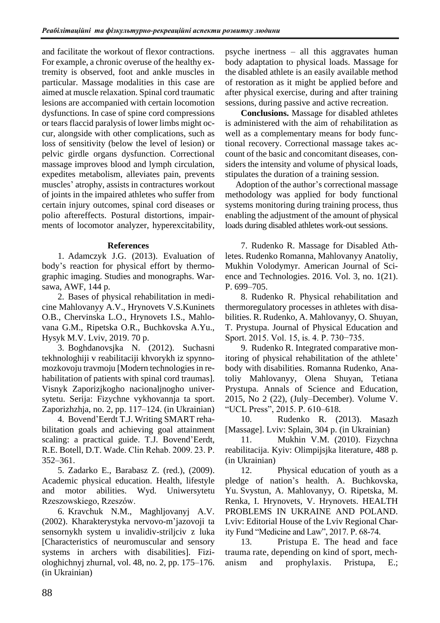and facilitate the workout of flexor contractions. For example, a chronic overuse of the healthy extremity is observed, foot and ankle muscles in particular. Massage modalities in this case are aimed at muscle relaxation. Spinal cord traumatic lesions are accompanied with certain locomotion dysfunctions. In case of spine cord compressions or tears flaccid paralysis of lower limbs might occur, alongside with other complications, such as loss of sensitivity (below the level of lesion) or pelvic girdle organs dysfunction. Correctional massage improves blood and lymph circulation, expedites metabolism, alleviates pain, prevents muscles' atrophy, assists in contractures workout of joints in the impaired athletes who suffer from certain injury outcomes, spinal cord diseases or polio aftereffects. Postural distortions, impairments of locomotor analyzer, hyperexcitability,

# **References**

1. Adamczyk J.G. (2013). Evaluation of body's reaction for physical effort by thermographic imaging. Studies and monographs. Warsawa, AWF, 144 p.

2. Bases of physical rehabilitation in medicine Mahlovanyy A.V., Hrynovets V.S.Kuninets O.B., Chervinska L.O., Hrynovets I.S., Mahlovana G.M., Ripetska O.R., Buchkovska A.Yu., Hysyk M.V. Lviv, 2019. 70 p.

3. Boghdanovsjka N. (2012). Suchasni tekhnologhiji v reabilitaciji khvorykh iz spynnomozkovoju travmoju [Modern technologies in rehabilitation of patients with spinal cord traumas]. Visnyk Zaporizjkogho nacionaljnogho universytetu. Serija: Fizychne vykhovannja ta sport. Zaporizhzhja, no. 2, pp. 117–124. (in Ukrainian)

4. Bovend'Eerdt T.J. Writing SMART rehabilitation goals and achieving goal attainment scaling: a practical guide. T.J. Bovend'Eerdt, R.E. Botell, D.T. Wade. Clin Rehab. 2009. 23. Р. 352–361.

5. Zadarko E., Barabasz Z. (red.), (2009). Academic physical education. Health, lifestyle and motor abilities. Wyd. Uniwersytetu Rzeszowskiego, Rzeszów.

6. Kravchuk N.M., Maghljovanyj A.V. (2002). Kharakterystyka nervovo-m'jazovoji ta sensornykh system u invalidiv-striljciv z luka [Characteristics of neuromuscular and sensory systems in archers with disabilities]. Fiziologhichnyj zhurnal, vol. 48, no. 2, pp. 175–176. (in Ukrainian)

psyche inertness – all this aggravates human body adaptation to physical loads. Massage for the disabled athlete is an easily available method of restoration as it might be applied before and after physical exercise, during and after training sessions, during passive and active recreation.

**Conclusions.** Massage for disabled athletes is administered with the aim of rehabilitation as well as a complementary means for body functional recovery. Correctional massage takes account of the basic and concomitant diseases, considers the intensity and volume of physical loads, stipulates the duration of a training session.

Adoption of the author's correctional massage methodology was applied for body functional systems monitoring during training process, thus enabling the adjustment of the amount of physical loads during disabled athletes work-out sessions.

7. Rudenko R. Massage for Disabled Athletes. Rudenko Romanna, Mahlovanyy Anatoliy, Mukhin Volodymyr. American Journal of Science and Technologies. 2016. Vol. 3, no. 1(21). P. 699–705.

8. Rudenko R. Physical rehabilitation and thermoregulatory processes in athletes with disabilities. R. Rudenko, A. Mahlovanyy, O. Shuyan, T. Prystupa. Journal of Physical Education and Sport. 2015. Vol. 15, is. 4. Р. 730−735.

9. Rudenko R. Integrated comparative monitoring of physical rehabilitation of the athlete' body with disabilities. Romanna Rudenko, Anatoliy Mahlovanyy, Olena Shuyan, Tetiana Prystupa. Annals of Science and Education, 2015, No 2 (22), (July–December). Volume V. "UCL Press", 2015. P. 610–618.

10. Rudenko R. (2013). Masazh [Massage]. Lviv: Splain, 304 p. (in Ukrainian)

11. Mukhin V.M. (2010). Fizychna reabilitacija. Kyiv: Olimpijsjka literature, 488 p. (in Ukrainian)

12. Physical education of youth as a pledge of nation's health. A. Buchkovska, Yu. Svystun, A. Mahlovanyy, O. Ripetska, M. Renka, I. Hrynovets, V. Hrynovets. HEALTH PROBLEMS IN UKRAINE AND POLAND. Lviv: Editorial House of the Lviv Regional Charity Fund "Medicine and Law", 2017. P. 68-74.

13. [Pristupa E.](http://elib.umsa.edu.ua/jspui/browse?type=author&value=Pristupa%2C+E.) [The head and face](http://repository.ldufk.edu.ua/handle/34606048/10720)  [trauma rate, depending on kind of sport, mech](http://repository.ldufk.edu.ua/handle/34606048/10720)[anism and prophylaxis.](http://repository.ldufk.edu.ua/handle/34606048/10720) [Pristupa, E.;](http://elib.umsa.edu.ua/jspui/browse?type=author&value=Pristupa%2C+E.)